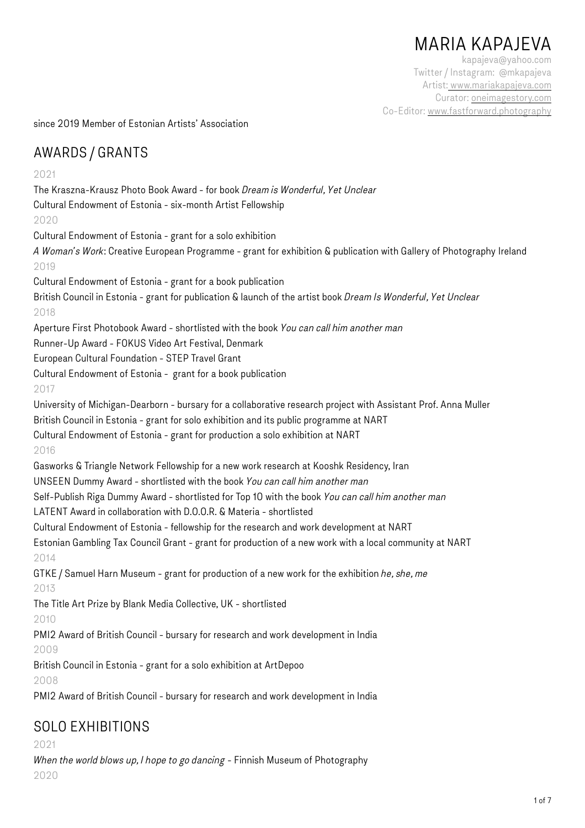# MARIA KAPAJEVA

kapajeva@yahoo.com Twitter / Instagram: @mkapajeva Artist: [www.mariakapajeva.com](http://www.mariakapajeva.com)  Curator: [oneimagestory.com](http://oneimagestory.com)  Co-Editor: [www.fastforward.photography](http://www.fastforward.photography) 

since 2019 Member of Estonian Artists' Association

### AWARDS / GRANTS

#### 2021

The Kraszna-Krausz Photo Book Award - for book *Dream is Wonderful, Yet Unclear* Cultural Endowment of Estonia - six-month Artist Fellowship 2020 Cultural Endowment of Estonia - grant for a solo exhibition *A Woman's Work*: Creative European Programme - grant for exhibition & publication with Gallery of Photography Ireland 2019 Cultural Endowment of Estonia - grant for a book publication British Council in Estonia - grant for publication & launch of the artist book *Dream Is Wonderful, Yet Unclear* 2018 Aperture First Photobook Award - shortlisted with the book *You can call him another man* Runner-Up Award - FOKUS Video Art Festival, Denmark European Cultural Foundation - STEP Travel Grant Cultural Endowment of Estonia - grant for a book publication 2017 University of Michigan-Dearborn - bursary for a collaborative research project with Assistant Prof. Anna Muller British Council in Estonia - grant for solo exhibition and its public programme at NART Cultural Endowment of Estonia - grant for production a solo exhibition at NART 2016 Gasworks & Triangle Network Fellowship for a new work research at Kooshk Residency, Iran UNSEEN Dummy Award - shortlisted with the book *You can call him another man* Self-Publish Riga Dummy Award - shortlisted for Top 10 with the book *You can call him another man* LATENT Award in collaboration with D.O.O.R. & Materia - shortlisted Cultural Endowment of Estonia - fellowship for the research and work development at NART Estonian Gambling Tax Council Grant - grant for production of a new work with a local community at NART 2014 GTKE / Samuel Harn Museum - grant for production of a new work for the exhibition *he, she, me* 2013 The Title Art Prize by Blank Media Collective, UK - shortlisted 2010 PMI2 Award of British Council - bursary for research and work development in India 2009 British Council in Estonia - grant for a solo exhibition at ArtDepoo 2008 PMI2 Award of British Council - bursary for research and work development in India SOLO EXHIBITIONS

2021

*When the world blows up, I hope to go dancing* - Finnish Museum of Photography 2020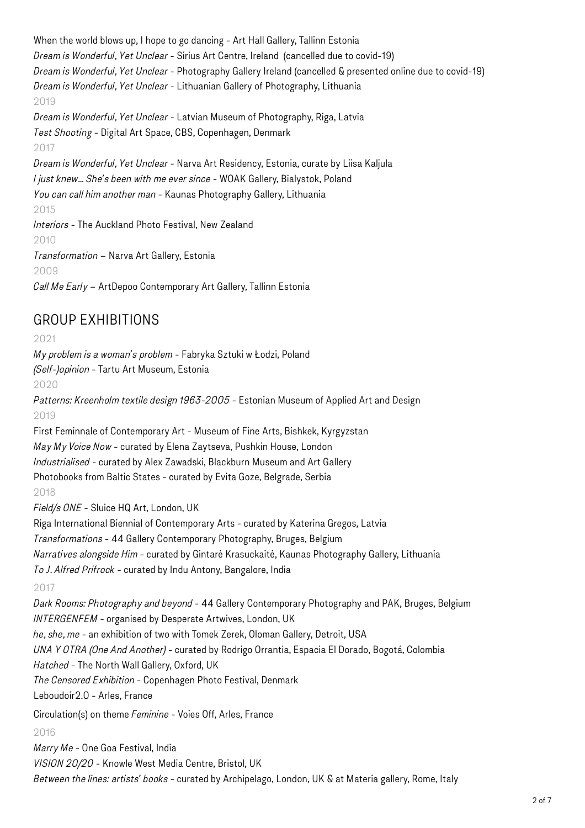When the world blows up, I hope to go dancing - Art Hall Gallery, Tallinn Estonia *Dream is Wonderful, Yet Unclear* - Sirius Art Centre, Ireland (cancelled due to covid-19) *Dream is Wonderful, Yet Unclear* - Photography Gallery Ireland (cancelled & presented online due to covid-19) *Dream is Wonderful, Yet Unclear* - Lithuanian Gallery of Photography, Lithuania 2019 *Dream is Wonderful, Yet Unclear* - Latvian Museum of Photography, Riga, Latvia *Test Shooting* - Digital Art Space, CBS, Copenhagen, Denmark 2017 *Dream is Wonderful, Yet Unclear* - Narva Art Residency, Estonia, curate by Liisa Kaljula *I just knew… She's been with me ever since* - WOAK Gallery, Bialystok, Poland *You can call him another man* - Kaunas Photography Gallery, Lithuania 2015 *Interiors* - The Auckland Photo Festival, New Zealand 2010 *Transformation* – Narva Art Gallery, Estonia 2009 *Call Me Early* – ArtDepoo Contemporary Art Gallery, Tallinn Estonia GROUP EXHIBITIONS 2021 *My problem is a woman's problem* - Fabryka Sztuki w Łodzi, Poland *(Self-)opinion* - Tartu Art Museum, Estonia 2020 *Patterns: Kreenholm textile design 1963-2005* - Estonian Museum of Applied Art and Design 2019 First Feminnale of Contemporary Art - Museum of Fine Arts, Bishkek, Kyrgyzstan *May My Voice Now* - curated by Elena Zaytseva, Pushkin House, London *Industrialised* - curated by Alex Zawadski, Blackburn Museum and Art Gallery Photobooks from Baltic States - curated by Evita Goze, Belgrade, Serbia 2018 *Field/s ONE* - Sluice HQ Art, London, UK Riga International Biennial of Contemporary Arts - curated by Katerina Gregos, Latvia *Transformations* - 44 Gallery Contemporary Photography, Bruges, Belgium *Narratives alongside Him* - curated by Gintarė Krasuckaitė, Kaunas Photography Gallery, Lithuania *To J. Alfred Prifrock* - curated by Indu Antony, Bangalore, India 2017 *Dark Rooms: Photography and beyond* - 44 Gallery Contemporary Photography and PAK, Bruges, Belgium *INTERGENFEM* - organised by Desperate Artwives, London, UK *he, she, me* - an exhibition of two with Tomek Zerek, Oloman Gallery, Detroit, USA *UNA Y OTRA (One And Another)* - curated by Rodrigo Orrantia, Espacia El Dorado, Bogotá, Colombia *Hatched* - The North Wall Gallery, Oxford, UK *The Censored Exhibition* - Copenhagen Photo Festival, Denmark Leboudoir2.0 - Arles, France

Circulation(s) on theme *Feminine* - Voies Off, Arles, France

2016

*Marry Me* - One Goa Festival, India *VISION 20/20* - Knowle West Media Centre, Bristol, UK *Between the lines: artists' books* - curated by Archipelago, London, UK & at Materia gallery, Rome, Italy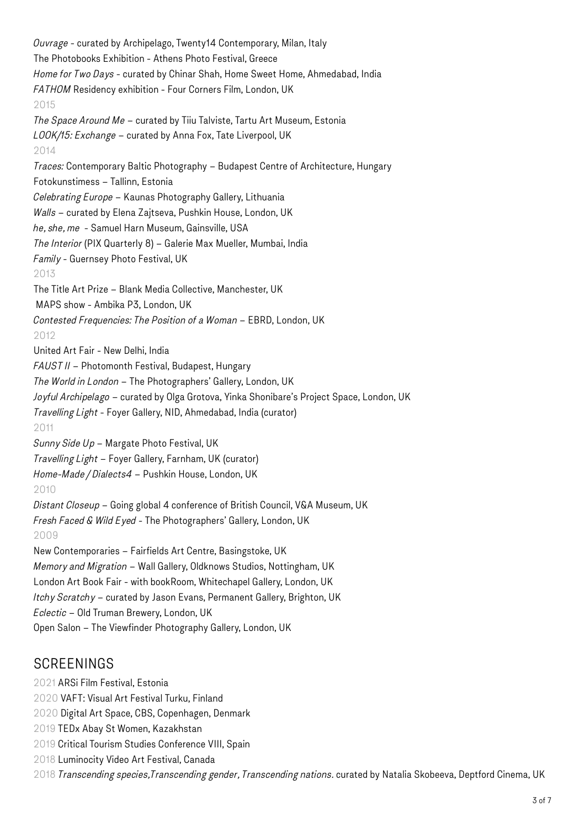*Ouvrage* - curated by Archipelago, Twenty14 Contemporary, Milan, Italy The Photobooks Exhibition - Athens Photo Festival, Greece *Home for Two Days* - curated by Chinar Shah, Home Sweet Home, Ahmedabad, India *FATHOM* Residency exhibition - Four Corners Film, London, UK 2015 *The Space Around Me* – curated by Tiiu Talviste, Tartu Art Museum, Estonia *LOOK/15: Exchange* – curated by Anna Fox, Tate Liverpool, UK 2014 *Traces:* Contemporary Baltic Photography – Budapest Centre of Architecture, Hungary Fotokunstimess – Tallinn, Estonia *Celebrating Europe* – Kaunas Photography Gallery, Lithuania *Walls* – curated by Elena Zajtseva, Pushkin House, London, UK *he, she, me* - Samuel Harn Museum, Gainsville, USA *The Interior* (PIX Quarterly 8) – Galerie Max Mueller, Mumbai, India *Family* - Guernsey Photo Festival, UK 2013 The Title Art Prize – Blank Media Collective, Manchester, UK MAPS show - Ambika P3, London, UK *Contested Frequencies: The Position of a Woman* – EBRD, London, UK 2012 United Art Fair - New Delhi, India *FAUST II* – Photomonth Festival, Budapest, Hungary *The World in London* – The Photographers' Gallery, London, UK *Joyful Archipelago* – curated by Olga Grotova, Yinka Shonibare's Project Space, London, UK *Travelling Light* - Foyer Gallery, NID, Ahmedabad, India (curator) 2011 *Sunny Side Up* – Margate Photo Festival, UK *Travelling Light* – Foyer Gallery, Farnham, UK (curator) *Home-Made / Dialects4* – Pushkin House, London, UK 2010 *Distant Closeup* – Going global 4 conference of British Council, V&A Museum, UK *Fresh Faced & Wild Eyed* - The Photographers' Gallery, London, UK 2009 New Contemporaries – Fairfields Art Centre, Basingstoke, UK *Memory and Migration* – Wall Gallery, Oldknows Studios, Nottingham, UK London Art Book Fair - with bookRoom, Whitechapel Gallery, London, UK *Itchy Scratchy* – curated by Jason Evans, Permanent Gallery, Brighton, UK *Eclectic* – Old Truman Brewery, London, UK Open Salon – The Viewfinder Photography Gallery, London, UK

### **SCREENINGS**

- 2021 ARSi Film Festival, Estonia
- 2020 VAFT: Visual Art Festival Turku, Finland
- 2020 Digital Art Space, CBS, Copenhagen, Denmark
- 2019 TEDx Abay St Women, Kazakhstan
- 2019 Critical Tourism Studies Conference VIII, Spain
- 2018 Luminocity Video Art Festival, Canada
- 2018 *Transcending species,Transcending gender, Transcending nations.* curated by Natalia Skobeeva, Deptford Cinema, UK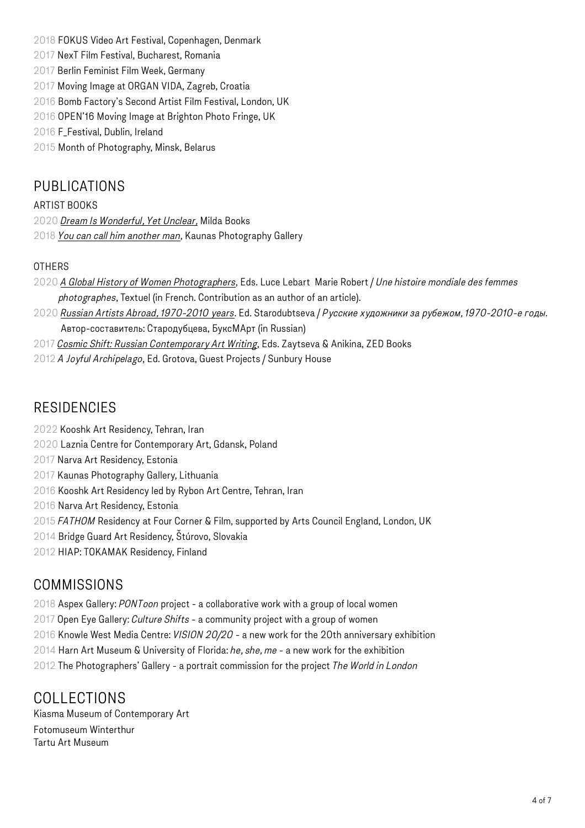2018 FOKUS Video Art Festival, Copenhagen, Denmark

- 2017 NexT Film Festival, Bucharest, Romania
- 2017 Berlin Feminist Film Week, Germany
- 2017 Moving Image at ORGAN VIDA, Zagreb, Croatia
- 2016 Bomb Factory's Second Artist Film Festival, London, UK
- 2016 OPEN'16 Moving Image at Brighton Photo Fringe, UK
- 2016 F\_Festival, Dublin, Ireland

2015 Month of Photography, Minsk, Belarus

### PUBLICATIONS

#### ARTIST BOOKS

2020 *[Dream Is Wonderful, Yet Unclear,](https://www.mildabooks.com/product/dream-is-wonderful-yet-unclear)* Milda Books

2018 *[You can call him another man](http://www.mariakapajeva.com/bookshops/)*, Kaunas Photography Gallery

#### **OTHERS**

- 2020 *[A Global History of Women Photographers](https://www.editionstextuel.com/livre/une-histoire-mondiale-des-femmes-photographes)*, Eds. Luce Lebart Marie Robert / *Une histoire mondiale des femmes photographes*, Textuel (in French. Contribution as an author of an article).
- 2020 *[Russian Artists Abroad, 1970-2010 years](https://artclassica.ru/katalog/knigi_izdatelstva__buksmart_/russkie-hudozhniki-za-rubezhom.-1970-2010-e-gody.html)*. Ed. Starodubtseva / *Русские художники за рубежом, 1970-2010-е годы.* Автор-составитель: Стародубцева, БуксМАрт (in Russian)
- 2017 *[Cosmic Shift: Russian Contemporary Art Writing](http://www.zedbooks.net/shop/book/cosmic-shift/)*, Eds. Zaytseva & Anikina, ZED Books
- 2012 *A Joyful Archipelago*, Ed. Grotova, Guest Projects / Sunbury House

### **RESIDENCIES**

- 2022 Kooshk Art Residency, Tehran, Iran
- 2020 Laznia Centre for Contemporary Art, Gdansk, Poland
- 2017 Narva Art Residency, Estonia
- 2017 Kaunas Photography Gallery, Lithuania
- 2016 Kooshk Art Residency led by Rybon Art Centre, Tehran, Iran
- 2016 Narva Art Residency, Estonia
- 2015 *FATHOM* Residency at Four Corner & Film, supported by Arts Council England, London, UK
- 2014 Bridge Guard Art Residency, Štúrovo, Slovakia
- 2012 HIAP: TOKAMAK Residency, Finland

## COMMISSIONS

- 2018 Aspex Gallery: *PONToon* project a collaborative work with a group of local women
- 2017 Open Eye Gallery: *Culture Shifts*  a community project with a group of women
- 2016 Knowle West Media Centre: *VISION 20/20* a new work for the 20th anniversary exhibition
- 2014 Harn Art Museum & University of Florida: *he, she, me* a new work for the exhibition
- 2012 The Photographers' Gallery a portrait commission for the project *The World in London*

# COLLECTIONS

Kiasma Museum of Contemporary Art Fotomuseum Winterthur Tartu Art Museum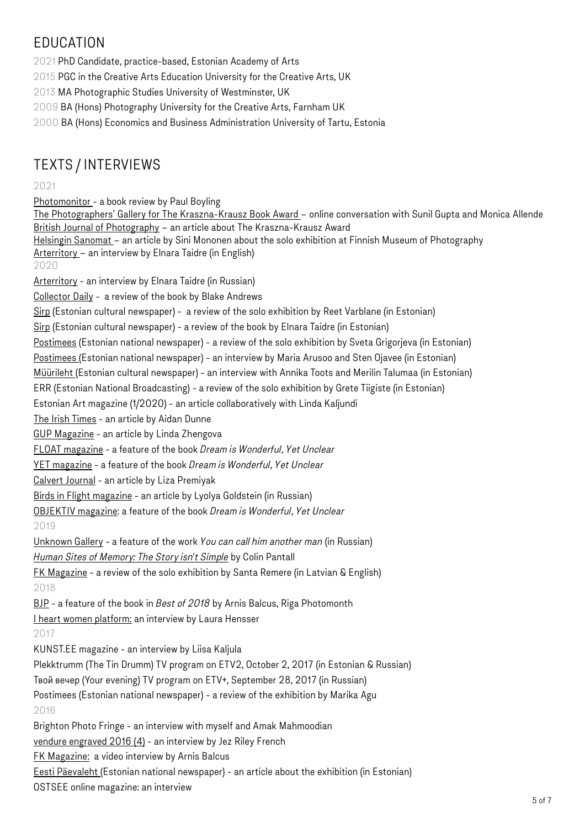# EDUCATION

2021 PhD Candidate, practice-based, Estonian Academy of Arts

2015 PGC in the Creative Arts Education University for the Creative Arts, UK

2013 MA Photographic Studies University of Westminster, UK

2009 BA (Hons) Photography University for the Creative Arts, Farnham UK

2000 BA (Hons) Economics and Business Administration University of Tartu, Estonia

# TEXTS / INTERVIEWS

#### 2021

[Photomonitor](https://photomonitor.co.uk/book/dream-is-wonderful-yet-unclear/) - a book review by Paul Boyling

[The Photographers' Gallery for The Kraszna-Krausz Book Award](https://www.youtube.com/watch?v=76a8zVkhG2g&t=4s) – online conversation with Sunil Gupta and Monica Allende [British Journal of Photography](https://www.1854.photography/2021/05/sunil-gupta-and-maria-kapajeva-are-the-joint-winners-of-the-kraszna-krausz-photobook-award/) - an article about The Kraszna-Krausz Award [Helsingin Sanomat](https://www.hs.fi/kulttuuri/art-2000007872987.html) – an article by Sini Mononen about the solo exhibition at Finnish Museum of Photography

[Arterritory](https://arterritory.com/en/visual_arts/interviews/25344-maria_kapajeva_if_a_subject_does_not_let_you_go_-_you_have_to_do) – an interview by Elnara Taidre (in English)

2020

[Arterritory](https://arterritory.com/ru/vizualnoe_iskusstvo/intervju/25315-marija_kapaeva_esli_tema_ne_otpuskaet_-_nado_delat) - an interview by Elnara Taidre (in Russian)

[Collector Daily](https://collectordaily.com/maria-kapajeva-dream-is-wonderful-yet-unclear/) - a review of the book by Blake Andrews

[Sirp](https://sirp.ee/s1-artiklid/c6-kunst/naine-kuulub-iseendale/) (Estonian cultural newspaper) - a review of the solo exhibition by Reet Varblane (in Estonian)

[Sirp](https://sirp.ee/s1-artiklid/c6-kunst/vaikese-loo-kaudu-suure-narratiivini/) (Estonian cultural newspaper) - a review of the book by Elnara Taidre (in Estonian)

[Postimees](https://leht.postimees.ee/7077931/sina-ei-pea-mitte-emaks-saama) (Estonian national newspaper) - a review of the solo exhibition by Sveta Grigorjeva (in Estonian)

[Postimees](https://leht.postimees.ee/7071350/kunst-sinu-umber-kunstnik-maria-kapajeva-emaks-saamine-on-valik-mitte-elementaarsus?_ga=2.141783483.803753982.1601201732-209971327.1581164737) (Estonian national newspaper) - an interview by Maria Arusoo and Sten Ojavee (in Estonian)

[Müürileht \(](https://www.muurileht.ee/nahtavaks-tegemise-kunst-intervjuu-maria-kapajevaga/#disqus_thread)Estonian cultural newspaper) - an interview with Annika Toots and Merilin Talumaa (in Estonian)

ERR (Estonian National Broadcasting) - a review of the solo exhibition by Grete Tiigiste (in Estonian)

Estonian Art magazine (1/2020) - an article collaboratively with Linda Kaljundi

[The Irish Times](https://www.irishtimes.com/culture/art-and-design/visual-art/a-tribute-to-working-women-launched-online-and-a-virtual-gallery-visit-1.4250242) - an article by Aidan Dunne

[GUP Magazine](http://www.gupmagazine.com/books/maria-kapajeva/maria-kapajeva-dream-is-wonderful-yet-unclear) - an article by Linda Zhengova

[FLOAT magazine](https://www.floatmagazine.us/portfolios/maria-kapajeva) - a feature of the book *Dream is Wonderful, Yet Unclear*

[YET magazine](https://yet-magazine.com/post/dream-is-wonderful-yet-unclear) - a feature of the book *Dream is Wonderful, Yet Unclear*

[Calvert Journal](https://www.calvertjournal.com/features/show/11687/soviet-estonia-textile-mill-kreenholm-sisterhood-photobook-maria-kapajeva) - an article by Liza Premiyak

[Birds in Flight magazine](https://birdinflight.com/ru/vdohnovenie/fotoproect/20200304-kapaeva-fabrika-narva.html) - an article by Lyolya Goldstein (in Russian)

[OBJEKTIV magazine](http://www.objektiv.no/realises/2020/2/4/fww2p1gxlsqve9xrhv1626iyp3ibxb): a feature of the book *Dream is Wonderful, Yet Unclear*

#### 2019

[Unknown Gallery](https://unknown.gallery/kapajeva-you-can/) - a feature of the work *You can call him another man* (in Russian)

*[Human Sites of Memory: The Story isn't Simple](https://colinpantall.blogspot.com/2019/11/human-sites-of-memory-story-isnt-simple.html)* by Colin Pantall

[FK Magazine](https://fkmagazine.lv/2019/06/29/the-fulcrum-of-the-perestroika-generation/) - a review of the solo exhibition by Santa Remere (in Latvian & English) 2018

[BJP](https://www.1854.photography/2018/12/best-of-2018-arnis-balcus-riga-photomonth/) - a feature of the book in *Best of 2018* by Arnis Balcus, Riga Photomonth

[I heart women platform:](http://iheartwomen.co.uk/mariakapajeva/) an interview by Laura Hensser

#### 2017

KUNST.EE magazine - an interview by Liisa Kaljula

Plekktrumm (The Tin Drumm) TV program on ETV2, October 2, 2017 (in Estonian & Russian)

Твой вечер (Your evening) TV program on ETV+, September 28, 2017 (in Russian)

Postimees (Estonian national newspaper) - a review of the exhibition by Marika Agu

### 2016

Brighton Photo Fringe - an interview with myself and Amak Mahmoodian

[vendure engraved 2016 \(4\)](https://issuu.com/engravedglass/docs/2016__4_) - an interview by Jez Riley French

[FK Magazine:](https://fkmagazine.lv/2016/09/22/fk-artist-maria-kapajeva/) a video interview by Arnis Balcus

[Eesti Päevaleht \(](http://epl.delfi.ee/news/kultuur/industriaalses-masinavargis-ei-ole-inimeste-lugudel-tahtsust?id=75561321)Estonian national newspaper) - an article about the exhibition (in Estonian) OSTSEE online magazine: an interview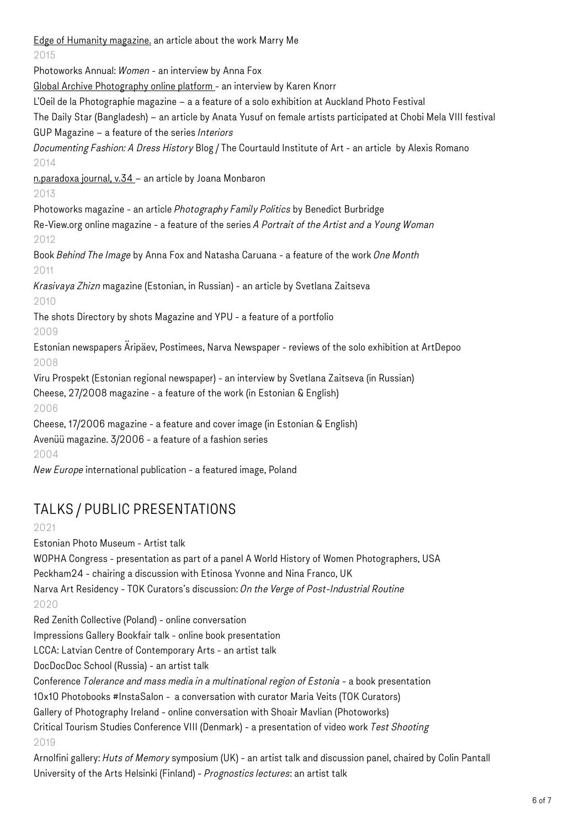[Edge of Humanity magazine.](https://edgeofhumanity.com/2016/03/20/india-7/) an article about the work Marry Me 2015 Photoworks Annual: *Women* - an interview by Anna Fox [Global Archive Photography online platform -](http://www.apple.com) an interview by Karen Knorr L'Oeil de la Photographie magazine – a a feature of a solo exhibition at Auckland Photo Festival The Daily Star (Bangladesh) – an article by Anata Yusuf on female artists participated at Chobi Mela VIII festival GUP Magazine – a feature of the series *Interiors Documenting Fashion: A Dress History* Blog / The Courtauld Institute of Art - an article by Alexis Romano 2014 [n.paradoxa journal, v.34](https://www.ktpress.co.uk/nparadoxa-volume-details.asp?volumeid=34) – an article by Joana Monbaron 2013 Photoworks magazine - an article *Photography Family Politics* by Benedict Burbridge Re-View.org online magazine - a feature of the series *A Portrait of the Artist and a Young Woman* 2012 Book *Behind The Image* by Anna Fox and Natasha Caruana - a feature of the work *One Month* 2011 *Krasivaya Zhizn* magazine (Estonian, in Russian) - an article by Svetlana Zaitseva 2010 The shots Directory by shots Magazine and YPU - a feature of a portfolio 2009 Estonian newspapers Äripäev, Postimees, Narva Newspaper - reviews of the solo exhibition at ArtDepoo 2008 Viru Prospekt (Estonian regional newspaper) - an interview by Svetlana Zaitseva (in Russian) Cheese, 27/2008 magazine - a feature of the work (in Estonian & English) 2006 Cheese, 17/2006 magazine - a feature and cover image (in Estonian & English) Avenüü magazine. 3/2006 - a feature of a fashion series 2004 *New Europe* international publication - a featured image, Poland

# TALKS / PUBLIC PRESENTATIONS

2021

Estonian Photo Museum - Artist talk

WOPHA Congress - presentation as part of a panel A World History of Women Photographers, USA Peckham24 - chairing a discussion with Etinosa Yvonne and Nina Franco, UK Narva Art Residency - TOK Curators's discussion: *On the Verge of Post-Industrial Routine* 2020 Red Zenith Collective (Poland) - online conversation

Impressions Gallery Bookfair talk - online book presentation

LCCA: Latvian Centre of Contemporary Arts - an artist talk

DocDocDoc School (Russia) - an artist talk

Conference *Tolerance and mass media in a multinational region of Estonia -* a book presentation

10x10 Photobooks #InstaSalon - a conversation with curator Maria Veits (TOK Curators)

Gallery of Photography Ireland - online conversation with Shoair Mavlian (Photoworks)

Critical Tourism Studies Conference VIII (Denmark) - a presentation of video work *Test Shooting*  2019

Arnolfini gallery: *Huts of Memory* symposium (UK) - an artist talk and discussion panel, chaired by Colin Pantall University of the Arts Helsinki (Finland) - *Prognostics lectures*: an artist talk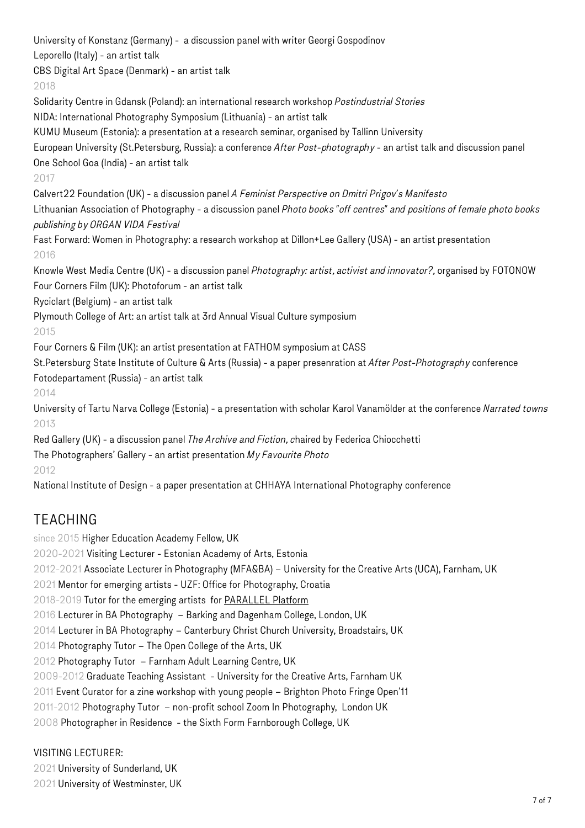University of Konstanz (Germany) - a discussion panel with writer Georgi Gospodinov Leporello (Italy) - an artist talk

CBS Digital Art Space (Denmark) - an artist talk

### 2018

Solidarity Centre in Gdansk (Poland): an international research workshop *Postindustrial Stories*  NIDA: International Photography Symposium (Lithuania) - an artist talk

KUMU Museum (Estonia): a presentation at a research seminar, organised by Tallinn University

European University (St.Petersburg, Russia): a conference *After Post-photography* - an artist talk and discussion panel One School Goa (India) - an artist talk

#### 2017

Calvert22 Foundation (UK) - a discussion panel *A Feminist Perspective on Dmitri Prigov's Manifesto*

Lithuanian Association of Photography - a discussion panel *Photo books "off centres" and positions of female photo books publishing by ORGAN VIDA Festival*

Fast Forward: Women in Photography: a research workshop at Dillon+Lee Gallery (USA) - an artist presentation 2016

Knowle West Media Centre (UK) - a discussion panel *Photography: artist, activist and innovator?,* organised by FOTONOW Four Corners Film (UK): Photoforum - an artist talk

Ryciclart (Belgium) - an artist talk

Plymouth College of Art: an artist talk at 3rd Annual Visual Culture symposium

### 2015

Four Corners & Film (UK): an artist presentation at FATHOM symposium at CASS

St.Petersburg State Institute of Culture & Arts (Russia) - a paper presenration at *After Post-Photography* conference Fotodepartament (Russia) - an artist talk

### 2014

University of Tartu Narva College (Estonia) - a presentation with scholar Karol Vanamölder at the conference *Narrated towns*  2013

Red Gallery (UK) - a discussion panel *The Archive and Fiction, c*haired by Federica Chiocchetti The Photographers' Gallery - an artist presentation *My Favourite Photo* 2012

National Institute of Design - a paper presentation at CHHAYA International Photography conference

# TEACHING

since 2015 Higher Education Academy Fellow, UK

2020-2021 Visiting Lecturer - Estonian Academy of Arts, Estonia

2012-2021 Associate Lecturer in Photography (MFA&BA) – University for the Creative Arts (UCA), Farnham, UK

2021 Mentor for emerging artists - UZF: Office for Photography, Croatia

2018-2019 Tutor for the emerging artists for [PARALLEL Platform](http://parallelplatform.org)

2016 Lecturer in BA Photography – Barking and Dagenham College, London, UK

2014 Lecturer in BA Photography – Canterbury Christ Church University, Broadstairs, UK

2014 Photography Tutor – The Open College of the Arts, UK

2012 Photography Tutor – Farnham Adult Learning Centre, UK

2009-2012 Graduate Teaching Assistant - University for the Creative Arts, Farnham UK

2011 Event Curator for a zine workshop with young people – Brighton Photo Fringe Open'11

2011-2012 Photography Tutor – non-profit school Zoom In Photography, London UK

2008 Photographer in Residence - the Sixth Form Farnborough College, UK

### VISITING LECTURER:

2021 University of Sunderland, UK 2021 University of Westminster, UK